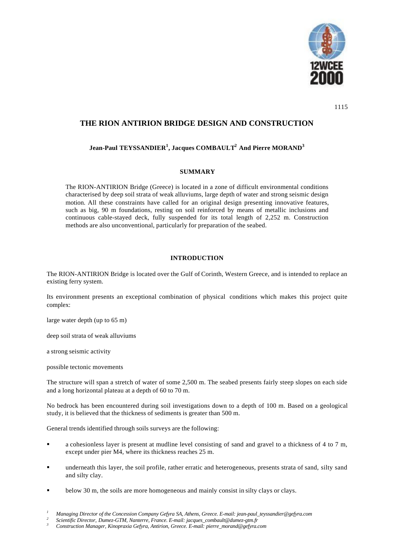

1115

# **THE RION ANTIRION BRIDGE DESIGN AND CONSTRUCTION**

## **Jean-Paul TEYSSANDIER<sup>1</sup> , Jacques COMBAULT<sup>2</sup> And Pierre MORAND<sup>3</sup>**

### **SUMMARY**

The RION-ANTIRION Bridge (Greece) is located in a zone of difficult environmental conditions characterised by deep soil strata of weak alluviums, large depth of water and strong seismic design motion. All these constraints have called for an original design presenting innovative features, such as big, 90 m foundations, resting on soil reinforced by means of metallic inclusions and continuous cable-stayed deck, fully suspended for its total length of 2,252 m. Construction methods are also unconventional, particularly for preparation of the seabed.

## **INTRODUCTION**

The RION-ANTIRION Bridge is located over the Gulf of Corinth, Western Greece, and is intended to replace an existing ferry system.

Its environment presents an exceptional combination of physical conditions which makes this project quite complex:

large water depth (up to 65 m)

deep soil strata of weak alluviums

a strong seismic activity

possible tectonic movements

The structure will span a stretch of water of some 2,500 m. The seabed presents fairly steep slopes on each side and a long horizontal plateau at a depth of 60 to 70 m.

No bedrock has been encountered during soil investigations down to a depth of 100 m. Based on a geological study, it is believed that the thickness of sediments is greater than 500 m.

General trends identified through soils surveys are the following:

- ß a cohesionless layer is present at mudline level consisting of sand and gravel to a thickness of 4 to 7 m, except under pier M4, where its thickness reaches 25 m.
- ß underneath this layer, the soil profile, rather erratic and heterogeneous, presents strata of sand, silty sand and silty clay.
- below 30 m, the soils are more homogeneous and mainly consist in silty clays or clays.

*<sup>1</sup> Managing Director of the Concession Company Gefyra SA, Athens, Greece. E-mail: jean-paul\_teyssandier@gefyra.com 2*

*Scientific Director, Dumez-GTM, Nanterre, France. E-mail: jacques\_combault@dumez-gtm.fr*

*<sup>3</sup> Construction Manager, Kinopraxia Gefyra, Antirion, Greece. E-mail: pierre\_morand@gefyra.com*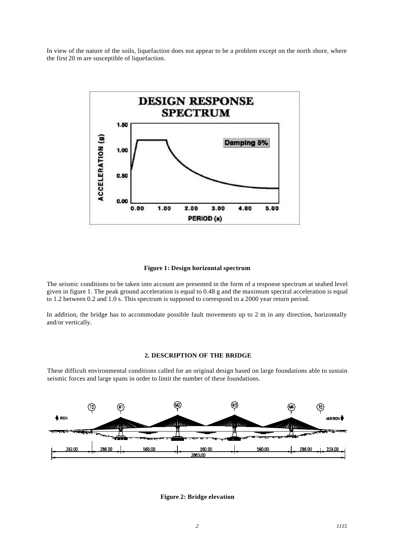In view of the nature of the soils, liquefaction does not appear to be a problem except on the north shore, where the first 20 m are susceptible of liquefaction.



#### **Figure 1: Design horizontal spectrum**

The seismic conditions to be taken into account are presented in the form of a response spectrum at seabed level given in figure 1. The peak ground acceleration is equal to 0.48 g and the maximum spectral acceleration is equal to 1.2 between 0.2 and 1.0 s. This spectrum is supposed to correspond to a 2000 year return period.

In addition, the bridge has to accommodate possible fault movements up to 2 m in any direction, horizontally and/or vertically.

#### **2. DESCRIPTION OF THE BRIDGE**

These difficult environmental conditions called for an original design based on large foundations able to sustain seismic forces and large spans in order to limit the number of these foundations.



**Figure 2: Bridge elevation**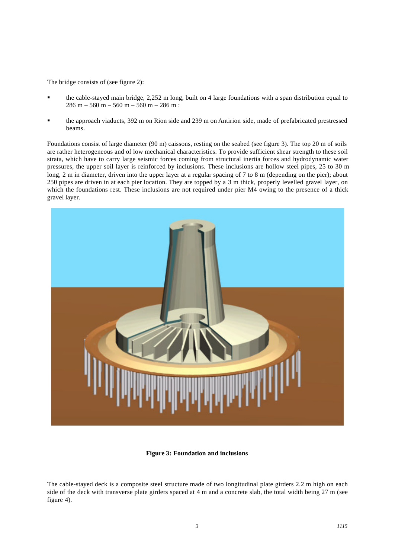The bridge consists of (see figure 2):

- ß the cable-stayed main bridge, 2,252 m long, built on 4 large foundations with a span distribution equal to  $286 m - 560 m - 560 m - 560 m - 286 m$ :
- ß the approach viaducts, 392 m on Rion side and 239 m on Antirion side, made of prefabricated prestressed beams.

Foundations consist of large diameter (90 m) caissons, resting on the seabed (see figure 3). The top 20 m of soils are rather heterogeneous and of low mechanical characteristics. To provide sufficient shear strength to these soil strata, which have to carry large seismic forces coming from structural inertia forces and hydrodynamic water pressures, the upper soil layer is reinforced by inclusions. These inclusions are hollow steel pipes, 25 to 30 m long, 2 m in diameter, driven into the upper layer at a regular spacing of 7 to 8 m (depending on the pier); about 250 pipes are driven in at each pier location. They are topped by a 3 m thick, properly levelled gravel layer, on which the foundations rest. These inclusions are not required under pier M4 owing to the presence of a thick gravel layer.



#### **Figure 3: Foundation and inclusions**

The cable-stayed deck is a composite steel structure made of two longitudinal plate girders 2.2 m high on each side of the deck with transverse plate girders spaced at 4 m and a concrete slab, the total width being 27 m (see figure 4).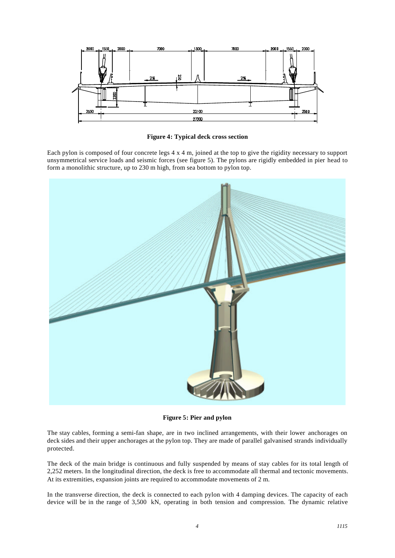

**Figure 4: Typical deck cross section**

Each pylon is composed of four concrete legs 4 x 4 m, joined at the top to give the rigidity necessary to support unsymmetrical service loads and seismic forces (see figure 5). The pylons are rigidly embedded in pier head to form a monolithic structure, up to 230 m high, from sea bottom to pylon top.



**Figure 5: Pier and pylon**

The stay cables, forming a semi-fan shape, are in two inclined arrangements, with their lower anchorages on deck sides and their upper anchorages at the pylon top. They are made of parallel galvanised strands individually protected.

The deck of the main bridge is continuous and fully suspended by means of stay cables for its total length of 2,252 meters. In the longitudinal direction, the deck is free to accommodate all thermal and tectonic movements. At its extremities, expansion joints are required to accommodate movements of 2 m.

In the transverse direction, the deck is connected to each pylon with 4 damping devices. The capacity of each device will be in the range of 3,500 kN, operating in both tension and compression. The dynamic relative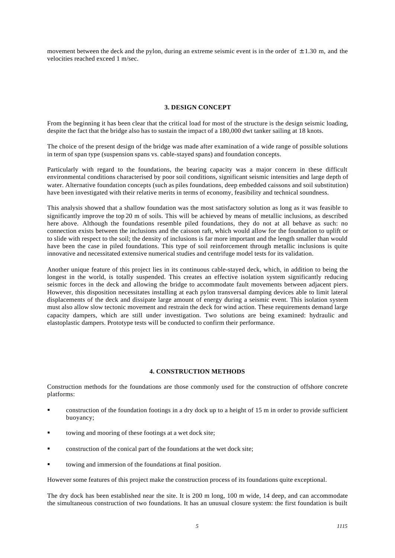movement between the deck and the pylon, during an extreme seismic event is in the order of  $\pm$  1.30 m, and the velocities reached exceed 1 m/sec.

#### **3. DESIGN CONCEPT**

From the beginning it has been clear that the critical load for most of the structure is the design seismic loading, despite the fact that the bridge also has to sustain the impact of a 180,000 dwt tanker sailing at 18 knots.

The choice of the present design of the bridge was made after examination of a wide range of possible solutions in term of span type (suspension spans vs. cable-stayed spans) and foundation concepts.

Particularly with regard to the foundations, the bearing capacity was a major concern in these difficult environmental conditions characterised by poor soil conditions, significant seismic intensities and large depth of water. Alternative foundation concepts (such as piles foundations, deep embedded caissons and soil substitution) have been investigated with their relative merits in terms of economy, feasibility and technical soundness.

This analysis showed that a shallow foundation was the most satisfactory solution as long as it was feasible to significantly improve the top 20 m of soils. This will be achieved by means of metallic inclusions, as described here above. Although the foundations resemble piled foundations, they do not at all behave as such: no connection exists between the inclusions and the caisson raft, which would allow for the foundation to uplift or to slide with respect to the soil; the density of inclusions is far more important and the length smaller than would have been the case in piled foundations. This type of soil reinforcement through metallic inclusions is quite innovative and necessitated extensive numerical studies and centrifuge model tests for its validation.

Another unique feature of this project lies in its continuous cable-stayed deck, which, in addition to being the longest in the world, is totally suspended. This creates an effective isolation system significantly reducing seismic forces in the deck and allowing the bridge to accommodate fault movements between adjacent piers. However, this disposition necessitates installing at each pylon transversal damping devices able to limit lateral displacements of the deck and dissipate large amount of energy during a seismic event. This isolation system must also allow slow tectonic movement and restrain the deck for wind action. These requirements demand large capacity dampers, which are still under investigation. Two solutions are being examined: hydraulic and elastoplastic dampers. Prototype tests will be conducted to confirm their performance.

#### **4. CONSTRUCTION METHODS**

Construction methods for the foundations are those commonly used for the construction of offshore concrete platforms:

- ß construction of the foundation footings in a dry dock up to a height of 15 m in order to provide sufficient buoyancy;
- ß towing and mooring of these footings at a wet dock site;
- ß construction of the conical part of the foundations at the wet dock site;
- ß towing and immersion of the foundations at final position.

However some features of this project make the construction process of its foundations quite exceptional.

The dry dock has been established near the site. It is 200 m long, 100 m wide, 14 deep, and can accommodate the simultaneous construction of two foundations. It has an unusual closure system: the first foundation is built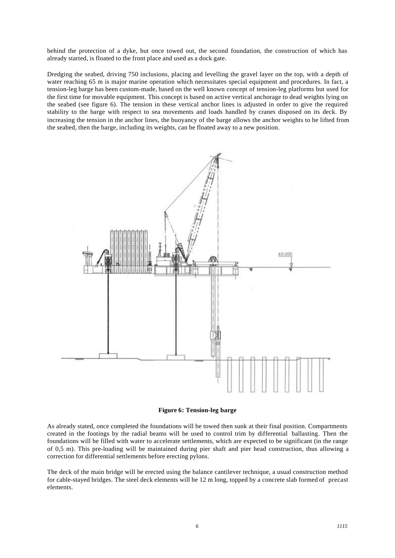behind the protection of a dyke, but once towed out, the second foundation, the construction of which has already started, is floated to the front place and used as a dock gate.

Dredging the seabed, driving 750 inclusions, placing and levelling the gravel layer on the top, with a depth of water reaching 65 m is major marine operation which necessitates special equipment and procedures. In fact, a tension-leg barge has been custom-made, based on the well known concept of tension-leg platforms but used for the first time for movable equipment. This concept is based on active vertical anchorage to dead weights lying on the seabed (see figure 6). The tension in these vertical anchor lines is adjusted in order to give the required stability to the barge with respect to sea movements and loads handled by cranes disposed on its deck. By increasing the tension in the anchor lines, the buoyancy of the barge allows the anchor weights to be lifted from the seabed, then the barge, including its weights, can be floated away to a new position.



**Figure 6: Tension-leg barge**

As already stated, once completed the foundations will be towed then sunk at their final position. Compartments created in the footings by the radial beams will be used to control trim by differential ballasting. Then the foundations will be filled with water to accelerate settlements, which are expected to be significant (in the range of 0,5 m). This pre-loading will be maintained during pier shaft and pier head construction, thus allowing a correction for differential settlements before erecting pylons.

The deck of the main bridge will be erected using the balance cantilever technique, a usual construction method for cable-stayed bridges. The steel deck elements will be 12 m long, topped by a concrete slab formed of precast elements.